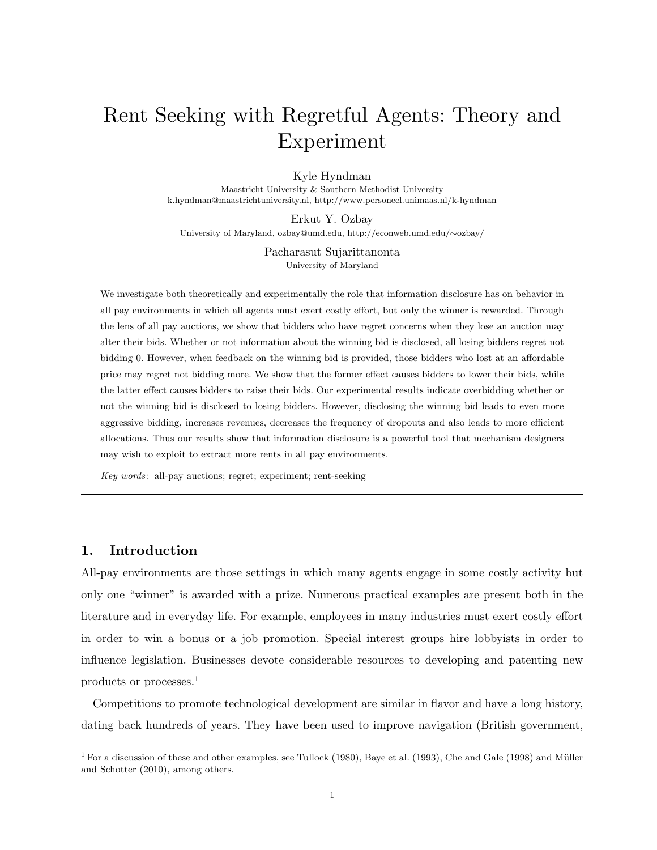# Rent Seeking with Regretful Agents: Theory and Experiment

Kyle Hyndman

Maastricht University & Southern Methodist University k.hyndman@maastrichtuniversity.nl, http://www.personeel.unimaas.nl/k-hyndman

Erkut Y. Ozbay University of Maryland, ozbay@umd.edu, http://econweb.umd.edu/∼ozbay/

> Pacharasut Sujarittanonta University of Maryland

We investigate both theoretically and experimentally the role that information disclosure has on behavior in all pay environments in which all agents must exert costly effort, but only the winner is rewarded. Through the lens of all pay auctions, we show that bidders who have regret concerns when they lose an auction may alter their bids. Whether or not information about the winning bid is disclosed, all losing bidders regret not bidding 0. However, when feedback on the winning bid is provided, those bidders who lost at an affordable price may regret not bidding more. We show that the former effect causes bidders to lower their bids, while the latter effect causes bidders to raise their bids. Our experimental results indicate overbidding whether or not the winning bid is disclosed to losing bidders. However, disclosing the winning bid leads to even more aggressive bidding, increases revenues, decreases the frequency of dropouts and also leads to more efficient allocations. Thus our results show that information disclosure is a powerful tool that mechanism designers may wish to exploit to extract more rents in all pay environments.

Key words: all-pay auctions; regret; experiment; rent-seeking

# 1. Introduction

All-pay environments are those settings in which many agents engage in some costly activity but only one "winner" is awarded with a prize. Numerous practical examples are present both in the literature and in everyday life. For example, employees in many industries must exert costly effort in order to win a bonus or a job promotion. Special interest groups hire lobbyists in order to influence legislation. Businesses devote considerable resources to developing and patenting new products or processes.<sup>1</sup>

Competitions to promote technological development are similar in flavor and have a long history, dating back hundreds of years. They have been used to improve navigation (British government,

<sup>1</sup> For a discussion of these and other examples, see Tullock (1980), Baye et al. (1993), Che and Gale (1998) and Müller and Schotter (2010), among others.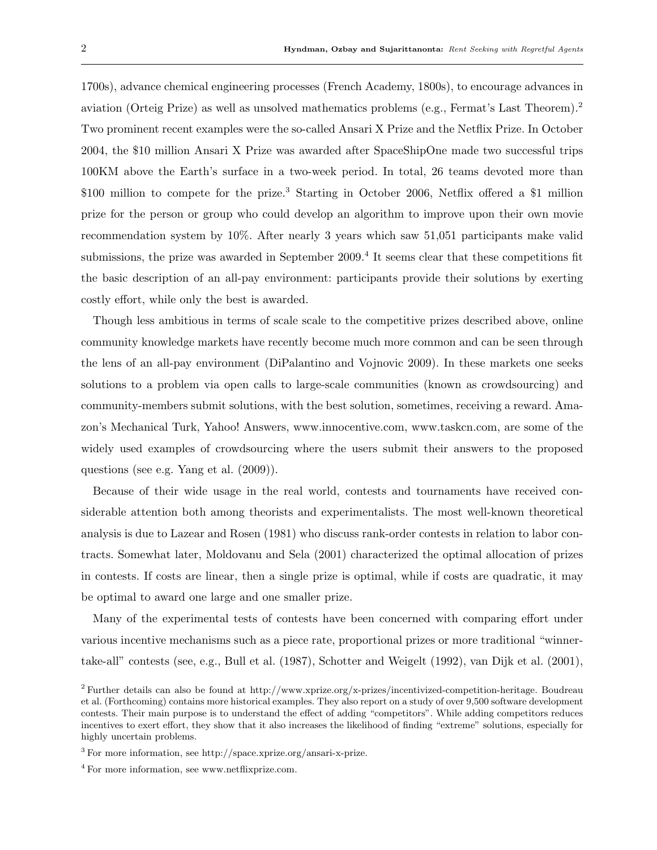1700s), advance chemical engineering processes (French Academy, 1800s), to encourage advances in aviation (Orteig Prize) as well as unsolved mathematics problems (e.g., Fermat's Last Theorem).<sup>2</sup> Two prominent recent examples were the so-called Ansari X Prize and the Netflix Prize. In October 2004, the \$10 million Ansari X Prize was awarded after SpaceShipOne made two successful trips 100KM above the Earth's surface in a two-week period. In total, 26 teams devoted more than \$100 million to compete for the prize.<sup>3</sup> Starting in October 2006, Netflix offered a \$1 million prize for the person or group who could develop an algorithm to improve upon their own movie recommendation system by 10%. After nearly 3 years which saw 51,051 participants make valid submissions, the prize was awarded in September 2009.<sup>4</sup> It seems clear that these competitions fit the basic description of an all-pay environment: participants provide their solutions by exerting costly effort, while only the best is awarded.

Though less ambitious in terms of scale scale to the competitive prizes described above, online community knowledge markets have recently become much more common and can be seen through the lens of an all-pay environment (DiPalantino and Vojnovic 2009). In these markets one seeks solutions to a problem via open calls to large-scale communities (known as crowdsourcing) and community-members submit solutions, with the best solution, sometimes, receiving a reward. Amazon's Mechanical Turk, Yahoo! Answers, www.innocentive.com, www.taskcn.com, are some of the widely used examples of crowdsourcing where the users submit their answers to the proposed questions (see e.g. Yang et al. (2009)).

Because of their wide usage in the real world, contests and tournaments have received considerable attention both among theorists and experimentalists. The most well-known theoretical analysis is due to Lazear and Rosen (1981) who discuss rank-order contests in relation to labor contracts. Somewhat later, Moldovanu and Sela (2001) characterized the optimal allocation of prizes in contests. If costs are linear, then a single prize is optimal, while if costs are quadratic, it may be optimal to award one large and one smaller prize.

Many of the experimental tests of contests have been concerned with comparing effort under various incentive mechanisms such as a piece rate, proportional prizes or more traditional "winnertake-all" contests (see, e.g., Bull et al. (1987), Schotter and Weigelt (1992), van Dijk et al. (2001),

<sup>2</sup> Further details can also be found at http://www.xprize.org/x-prizes/incentivized-competition-heritage. Boudreau et al. (Forthcoming) contains more historical examples. They also report on a study of over 9,500 software development contests. Their main purpose is to understand the effect of adding "competitors". While adding competitors reduces incentives to exert effort, they show that it also increases the likelihood of finding "extreme" solutions, especially for highly uncertain problems.

<sup>3</sup> For more information, see http://space.xprize.org/ansari-x-prize.

<sup>4</sup> For more information, see www.netflixprize.com.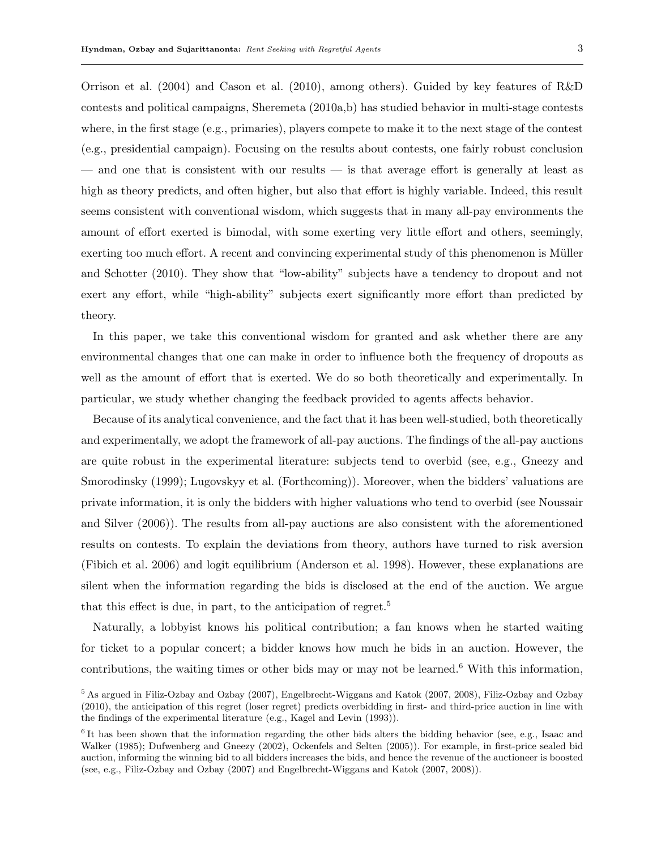Orrison et al. (2004) and Cason et al. (2010), among others). Guided by key features of R&D contests and political campaigns, Sheremeta (2010a,b) has studied behavior in multi-stage contests where, in the first stage (e.g., primaries), players compete to make it to the next stage of the contest (e.g., presidential campaign). Focusing on the results about contests, one fairly robust conclusion — and one that is consistent with our results — is that average effort is generally at least as high as theory predicts, and often higher, but also that effort is highly variable. Indeed, this result seems consistent with conventional wisdom, which suggests that in many all-pay environments the amount of effort exerted is bimodal, with some exerting very little effort and others, seemingly, exerting too much effort. A recent and convincing experimental study of this phenomenon is Müller and Schotter (2010). They show that "low-ability" subjects have a tendency to dropout and not exert any effort, while "high-ability" subjects exert significantly more effort than predicted by theory.

In this paper, we take this conventional wisdom for granted and ask whether there are any environmental changes that one can make in order to influence both the frequency of dropouts as well as the amount of effort that is exerted. We do so both theoretically and experimentally. In particular, we study whether changing the feedback provided to agents affects behavior.

Because of its analytical convenience, and the fact that it has been well-studied, both theoretically and experimentally, we adopt the framework of all-pay auctions. The findings of the all-pay auctions are quite robust in the experimental literature: subjects tend to overbid (see, e.g., Gneezy and Smorodinsky (1999); Lugovskyy et al. (Forthcoming)). Moreover, when the bidders' valuations are private information, it is only the bidders with higher valuations who tend to overbid (see Noussair and Silver (2006)). The results from all-pay auctions are also consistent with the aforementioned results on contests. To explain the deviations from theory, authors have turned to risk aversion (Fibich et al. 2006) and logit equilibrium (Anderson et al. 1998). However, these explanations are silent when the information regarding the bids is disclosed at the end of the auction. We argue that this effect is due, in part, to the anticipation of regret.<sup>5</sup>

Naturally, a lobbyist knows his political contribution; a fan knows when he started waiting for ticket to a popular concert; a bidder knows how much he bids in an auction. However, the contributions, the waiting times or other bids may or may not be learned.<sup>6</sup> With this information,

<sup>5</sup> As argued in Filiz-Ozbay and Ozbay (2007), Engelbrecht-Wiggans and Katok (2007, 2008), Filiz-Ozbay and Ozbay (2010), the anticipation of this regret (loser regret) predicts overbidding in first- and third-price auction in line with the findings of the experimental literature (e.g., Kagel and Levin (1993)).

<sup>&</sup>lt;sup>6</sup> It has been shown that the information regarding the other bids alters the bidding behavior (see, e.g., Isaac and Walker (1985); Dufwenberg and Gneezy (2002), Ockenfels and Selten (2005)). For example, in first-price sealed bid auction, informing the winning bid to all bidders increases the bids, and hence the revenue of the auctioneer is boosted (see, e.g., Filiz-Ozbay and Ozbay (2007) and Engelbrecht-Wiggans and Katok (2007, 2008)).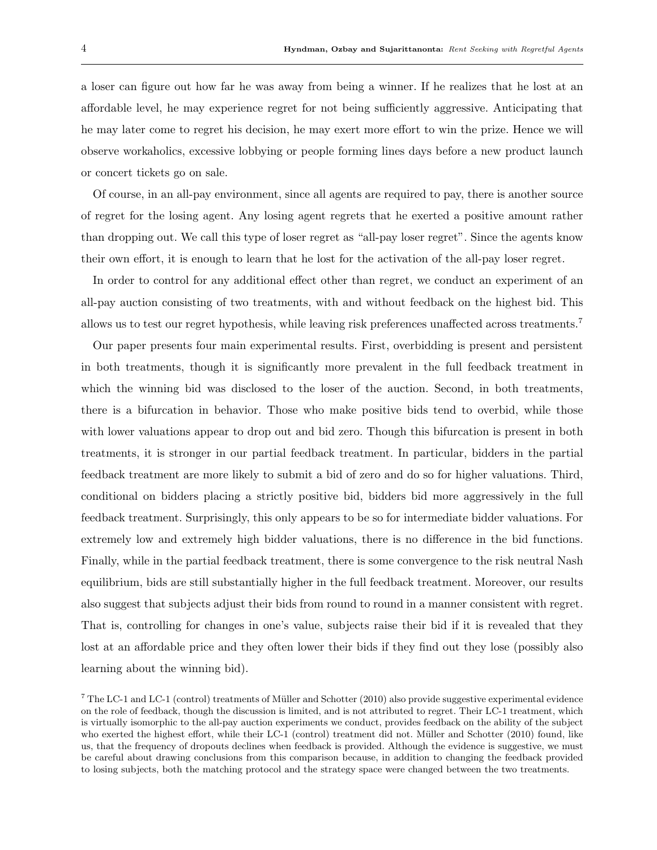a loser can figure out how far he was away from being a winner. If he realizes that he lost at an affordable level, he may experience regret for not being sufficiently aggressive. Anticipating that he may later come to regret his decision, he may exert more effort to win the prize. Hence we will observe workaholics, excessive lobbying or people forming lines days before a new product launch or concert tickets go on sale.

Of course, in an all-pay environment, since all agents are required to pay, there is another source of regret for the losing agent. Any losing agent regrets that he exerted a positive amount rather than dropping out. We call this type of loser regret as "all-pay loser regret". Since the agents know their own effort, it is enough to learn that he lost for the activation of the all-pay loser regret.

In order to control for any additional effect other than regret, we conduct an experiment of an all-pay auction consisting of two treatments, with and without feedback on the highest bid. This allows us to test our regret hypothesis, while leaving risk preferences unaffected across treatments.<sup>7</sup>

Our paper presents four main experimental results. First, overbidding is present and persistent in both treatments, though it is significantly more prevalent in the full feedback treatment in which the winning bid was disclosed to the loser of the auction. Second, in both treatments, there is a bifurcation in behavior. Those who make positive bids tend to overbid, while those with lower valuations appear to drop out and bid zero. Though this bifurcation is present in both treatments, it is stronger in our partial feedback treatment. In particular, bidders in the partial feedback treatment are more likely to submit a bid of zero and do so for higher valuations. Third, conditional on bidders placing a strictly positive bid, bidders bid more aggressively in the full feedback treatment. Surprisingly, this only appears to be so for intermediate bidder valuations. For extremely low and extremely high bidder valuations, there is no difference in the bid functions. Finally, while in the partial feedback treatment, there is some convergence to the risk neutral Nash equilibrium, bids are still substantially higher in the full feedback treatment. Moreover, our results also suggest that subjects adjust their bids from round to round in a manner consistent with regret. That is, controlling for changes in one's value, subjects raise their bid if it is revealed that they lost at an affordable price and they often lower their bids if they find out they lose (possibly also learning about the winning bid).

 $^7$  The LC-1 and LC-1 (control) treatments of Müller and Schotter (2010) also provide suggestive experimental evidence on the role of feedback, though the discussion is limited, and is not attributed to regret. Their LC-1 treatment, which is virtually isomorphic to the all-pay auction experiments we conduct, provides feedback on the ability of the subject who exerted the highest effort, while their LC-1 (control) treatment did not. Müller and Schotter (2010) found, like us, that the frequency of dropouts declines when feedback is provided. Although the evidence is suggestive, we must be careful about drawing conclusions from this comparison because, in addition to changing the feedback provided to losing subjects, both the matching protocol and the strategy space were changed between the two treatments.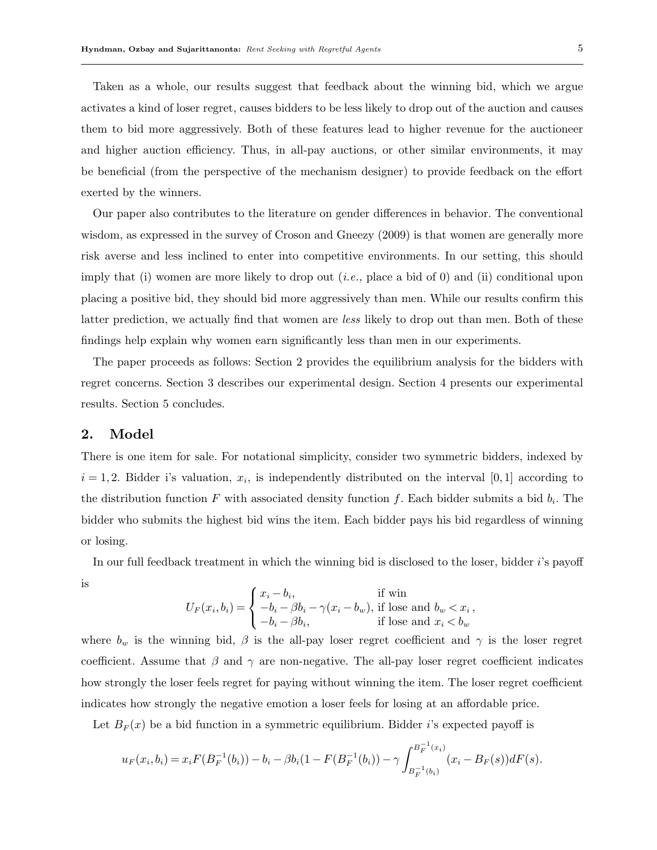Taken as a whole, our results suggest that feedback about the winning bid, which we argue activates a kind of loser regret, causes bidders to be less likely to drop out of the auction and causes them to bid more aggressively. Both of these features lead to higher revenue for the auctioneer and higher auction efficiency. Thus, in all-pay auctions, or other similar environments, it may be beneficial (from the perspective of the mechanism designer) to provide feedback on the effort exerted by the winners.

Our paper also contributes to the literature on gender differences in behavior. The conventional wisdom, as expressed in the survey of Croson and Gneezy (2009) is that women are generally more risk averse and less inclined to enter into competitive environments. In our setting, this should imply that (i) women are more likely to drop out (*i.e.*, place a bid of 0) and (ii) conditional upon placing a positive bid, they should bid more aggressively than men. While our results confirm this latter prediction, we actually find that women are less likely to drop out than men. Both of these findings help explain why women earn significantly less than men in our experiments.

The paper proceeds as follows: Section 2 provides the equilibrium analysis for the bidders with regret concerns. Section 3 describes our experimental design. Section 4 presents our experimental results. Section 5 concludes.

## 2. Model

There is one item for sale. For notational simplicity, consider two symmetric bidders, indexed by  $i = 1, 2$ . Bidder i's valuation,  $x_i$ , is independently distributed on the interval [0,1] according to the distribution function  $F$  with associated density function  $f$ . Each bidder submits a bid  $b_i$ . The bidder who submits the highest bid wins the item. Each bidder pays his bid regardless of winning or losing.

In our full feedback treatment in which the winning bid is disclosed to the loser, bidder i's payoff is

$$
U_F(x_i, b_i) = \begin{cases} x_i - b_i, & \text{if win} \\ -b_i - \beta b_i - \gamma (x_i - b_w), & \text{if lose and } b_w < x_i, \\ -b_i - \beta b_i, & \text{if lose and } x_i < b_w \end{cases}
$$

where  $b_w$  is the winning bid,  $\beta$  is the all-pay loser regret coefficient and  $\gamma$  is the loser regret coefficient. Assume that  $\beta$  and  $\gamma$  are non-negative. The all-pay loser regret coefficient indicates how strongly the loser feels regret for paying without winning the item. The loser regret coefficient indicates how strongly the negative emotion a loser feels for losing at an affordable price.

Let  $B_F(x)$  be a bid function in a symmetric equilibrium. Bidder i's expected payoff is

$$
u_F(x_i, b_i) = x_i F(B_F^{-1}(b_i)) - b_i - \beta b_i (1 - F(B_F^{-1}(b_i)) - \gamma \int_{B_F^{-1}(b_i)}^{B_F^{-1}(x_i)} (x_i - B_F(s)) dF(s).
$$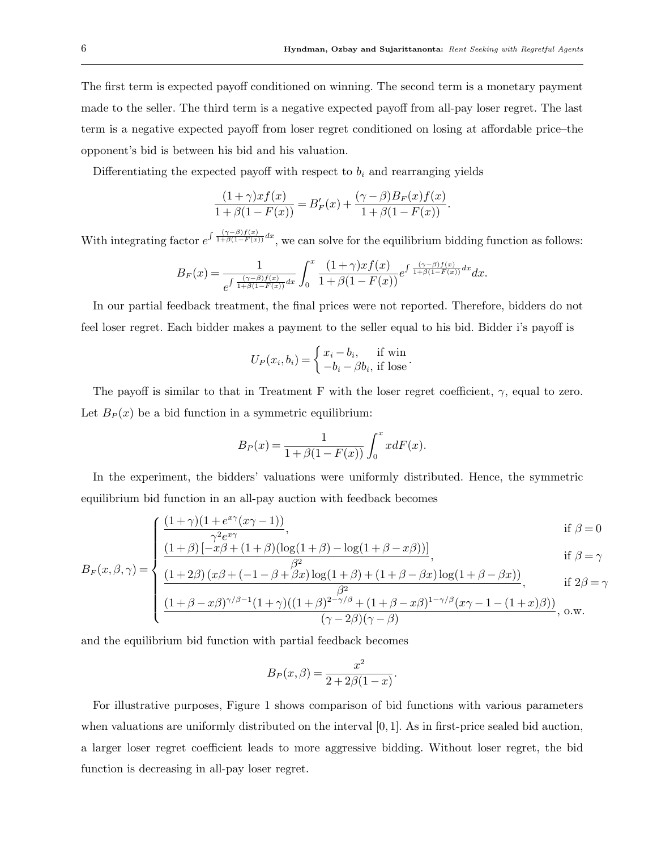The first term is expected payoff conditioned on winning. The second term is a monetary payment made to the seller. The third term is a negative expected payoff from all-pay loser regret. The last term is a negative expected payoff from loser regret conditioned on losing at affordable price–the opponent's bid is between his bid and his valuation.

Differentiating the expected payoff with respect to  $b_i$  and rearranging yields

$$
\frac{(1+\gamma)xf(x)}{1+\beta(1-F(x))} = B'_F(x) + \frac{(\gamma-\beta)B_F(x)f(x)}{1+\beta(1-F(x))}.
$$

With integrating factor  $e^{\int \frac{(\gamma-\beta)f(x)}{1+\beta(1-F(x))}dx}$ , we can solve for the equilibrium bidding function as follows:

$$
B_F(x)=\frac{1}{e^{\int \frac{(\gamma-\beta)f(x)}{1+\beta(1-F(x))}dx}}\int_0^x\frac{(1+\gamma)xf(x)}{1+\beta(1-F(x))}e^{\int \frac{(\gamma-\beta)f(x)}{1+\beta(1-F(x))}dx}dx.
$$

In our partial feedback treatment, the final prices were not reported. Therefore, bidders do not feel loser regret. Each bidder makes a payment to the seller equal to his bid. Bidder i's payoff is

$$
U_P(x_i, b_i) = \begin{cases} x_i - b_i, & \text{if win} \\ -b_i - \beta b_i, & \text{if lose} \end{cases}.
$$

The payoff is similar to that in Treatment F with the loser regret coefficient,  $\gamma$ , equal to zero. Let  $B<sub>P</sub>(x)$  be a bid function in a symmetric equilibrium:

$$
B_P(x) = \frac{1}{1 + \beta(1 - F(x))} \int_0^x x dF(x).
$$

In the experiment, the bidders' valuations were uniformly distributed. Hence, the symmetric equilibrium bid function in an all-pay auction with feedback becomes

$$
\int \frac{(1+\gamma)(1+e^{x\gamma}(x\gamma-1))}{(1+\beta)[-x\beta+(1+\beta)(\log(1+\beta)-\log(1+\beta-x\beta))]},
$$
 if  $\beta = 0$   

$$
\frac{(1+\gamma)(1+e^{x\gamma}(x\gamma-1))}{(1+\beta)(1+\beta)(\log(1+\beta)-\log(1+\beta-x\beta))},
$$
 if  $\beta = \gamma$ 

.

$$
B_F(x,\beta,\gamma) = \begin{cases} \frac{(1+\beta)\left(\frac{1+\beta}{1+\beta}\right)\left(\frac{1+\beta}{1+\beta}\right)\left(\frac{1+\beta}{1+\beta}\right)-\frac{1}{2}\left(\frac{1+\beta}{1+\beta}\right)\left(\frac{1+\beta}{1+\beta}\right)}{\beta^2}, & \text{if } 2\beta = \gamma\\ \frac{(1+\beta)\left(x\beta+(-1-\beta+\beta x)\log(1+\beta)+(1+\beta-\beta x)\log(1+\beta-\beta x)\right)}{\beta^2}, & \text{if } 2\beta = \gamma\\ \frac{(1+\beta-x\beta)^{\gamma/\beta-1}(1+\gamma)((1+\beta)^{2-\gamma/\beta}+(1+\beta-x\beta)^{1-\gamma/\beta}(x\gamma-1-(1+x)\beta))}{(\gamma-2\beta)(\gamma-\beta)}, & \text{o.w.} \end{cases}
$$

and the equilibrium bid function with partial feedback becomes

$$
B_P(x,\beta) = \frac{x^2}{2 + 2\beta(1-x)}
$$

For illustrative purposes, Figure 1 shows comparison of bid functions with various parameters when valuations are uniformly distributed on the interval  $[0, 1]$ . As in first-price sealed bid auction, a larger loser regret coefficient leads to more aggressive bidding. Without loser regret, the bid function is decreasing in all-pay loser regret.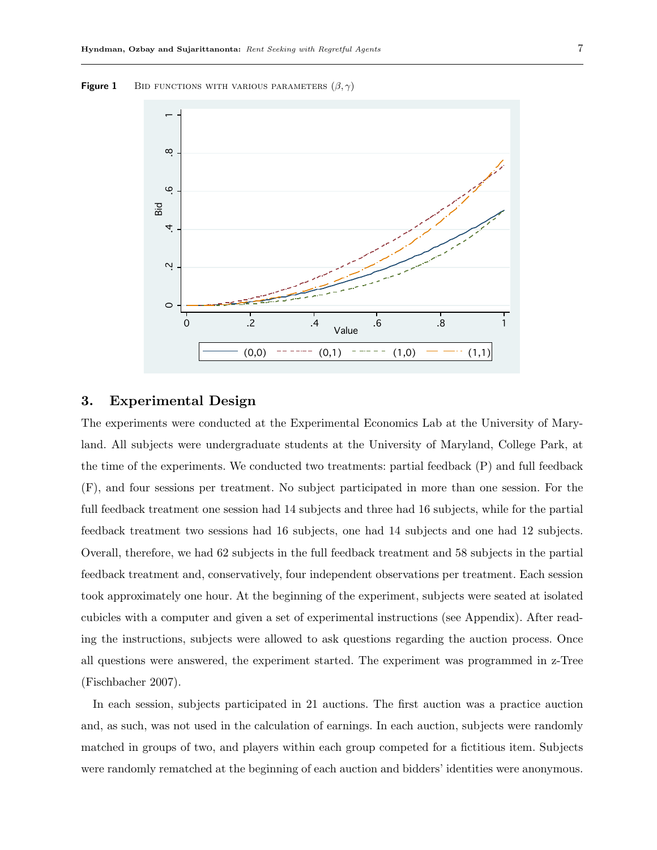



# 3. Experimental Design

The experiments were conducted at the Experimental Economics Lab at the University of Maryland. All subjects were undergraduate students at the University of Maryland, College Park, at the time of the experiments. We conducted two treatments: partial feedback (P) and full feedback (F), and four sessions per treatment. No subject participated in more than one session. For the full feedback treatment one session had 14 subjects and three had 16 subjects, while for the partial feedback treatment two sessions had 16 subjects, one had 14 subjects and one had 12 subjects. Overall, therefore, we had 62 subjects in the full feedback treatment and 58 subjects in the partial feedback treatment and, conservatively, four independent observations per treatment. Each session took approximately one hour. At the beginning of the experiment, subjects were seated at isolated cubicles with a computer and given a set of experimental instructions (see Appendix). After reading the instructions, subjects were allowed to ask questions regarding the auction process. Once all questions were answered, the experiment started. The experiment was programmed in z-Tree (Fischbacher 2007).

In each session, subjects participated in 21 auctions. The first auction was a practice auction and, as such, was not used in the calculation of earnings. In each auction, subjects were randomly matched in groups of two, and players within each group competed for a fictitious item. Subjects were randomly rematched at the beginning of each auction and bidders' identities were anonymous.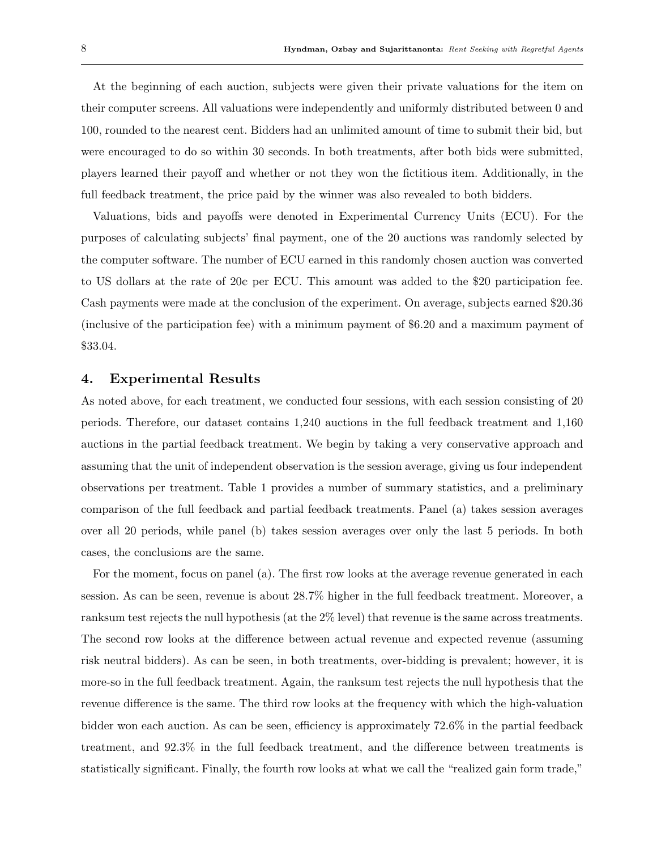At the beginning of each auction, subjects were given their private valuations for the item on their computer screens. All valuations were independently and uniformly distributed between 0 and 100, rounded to the nearest cent. Bidders had an unlimited amount of time to submit their bid, but were encouraged to do so within 30 seconds. In both treatments, after both bids were submitted, players learned their payoff and whether or not they won the fictitious item. Additionally, in the full feedback treatment, the price paid by the winner was also revealed to both bidders.

Valuations, bids and payoffs were denoted in Experimental Currency Units (ECU). For the purposes of calculating subjects' final payment, one of the 20 auctions was randomly selected by the computer software. The number of ECU earned in this randomly chosen auction was converted to US dollars at the rate of 20¢ per ECU. This amount was added to the \$20 participation fee. Cash payments were made at the conclusion of the experiment. On average, subjects earned \$20.36 (inclusive of the participation fee) with a minimum payment of \$6.20 and a maximum payment of \$33.04.

## 4. Experimental Results

As noted above, for each treatment, we conducted four sessions, with each session consisting of 20 periods. Therefore, our dataset contains 1,240 auctions in the full feedback treatment and 1,160 auctions in the partial feedback treatment. We begin by taking a very conservative approach and assuming that the unit of independent observation is the session average, giving us four independent observations per treatment. Table 1 provides a number of summary statistics, and a preliminary comparison of the full feedback and partial feedback treatments. Panel (a) takes session averages over all 20 periods, while panel (b) takes session averages over only the last 5 periods. In both cases, the conclusions are the same.

For the moment, focus on panel (a). The first row looks at the average revenue generated in each session. As can be seen, revenue is about 28.7% higher in the full feedback treatment. Moreover, a ranksum test rejects the null hypothesis (at the 2% level) that revenue is the same across treatments. The second row looks at the difference between actual revenue and expected revenue (assuming risk neutral bidders). As can be seen, in both treatments, over-bidding is prevalent; however, it is more-so in the full feedback treatment. Again, the ranksum test rejects the null hypothesis that the revenue difference is the same. The third row looks at the frequency with which the high-valuation bidder won each auction. As can be seen, efficiency is approximately 72.6% in the partial feedback treatment, and 92.3% in the full feedback treatment, and the difference between treatments is statistically significant. Finally, the fourth row looks at what we call the "realized gain form trade,"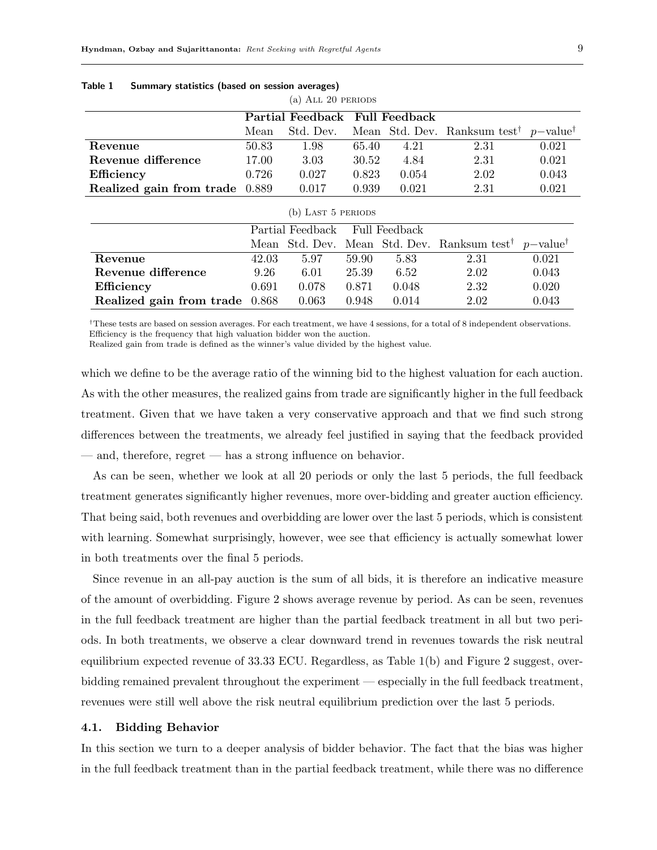| (d) ALL ZU FERIODS       |                                |                  |       |       |                                                         |                         |  |  |  |
|--------------------------|--------------------------------|------------------|-------|-------|---------------------------------------------------------|-------------------------|--|--|--|
|                          | Partial Feedback Full Feedback |                  |       |       |                                                         |                         |  |  |  |
|                          | Mean                           | Std. Dev.        |       |       | Mean Std. Dev. Ranksum test <sup>†</sup>                | $p$ -value <sup>†</sup> |  |  |  |
| Revenue                  | 50.83                          | 1.98             | 65.40 | 4.21  | 2.31                                                    | 0.021                   |  |  |  |
| Revenue difference       | 17.00                          | 3.03             | 30.52 | 4.84  | 2.31                                                    | 0.021                   |  |  |  |
| Efficiency               | 0.726                          | 0.027            | 0.823 | 0.054 | 2.02                                                    | 0.043                   |  |  |  |
| Realized gain from trade | 0.889                          | 0.017            | 0.939 | 0.021 | 2.31                                                    | 0.021                   |  |  |  |
| $(b)$ Last 5 periods     |                                |                  |       |       |                                                         |                         |  |  |  |
| Full Feedback            |                                |                  |       |       |                                                         |                         |  |  |  |
|                          |                                | Partial Feedback |       |       |                                                         |                         |  |  |  |
|                          |                                |                  |       |       | Mean Std. Dev. Mean Std. Dev. Ranksum test <sup>†</sup> | $p$ -value <sup>†</sup> |  |  |  |
| Revenue                  | 42.03                          | 5.97             | 59.90 | 5.83  | 2.31                                                    | 0.021                   |  |  |  |
| Revenue difference       | 9.26                           | 6.01             | 25.39 | 6.52  | 2.02                                                    | 0.043                   |  |  |  |
| Efficiency               | 0.691                          | 0.078            | 0.871 | 0.048 | 2.32                                                    | 0.020                   |  |  |  |
| Realized gain from trade | 0.868                          | 0.063            | 0.948 | 0.014 | 2.02                                                    | 0.043                   |  |  |  |
|                          |                                |                  |       |       |                                                         |                         |  |  |  |

#### Table 1 Summary statistics (based on session averages)  $(a)$  ALL 20 periods

†These tests are based on session averages. For each treatment, we have 4 sessions, for a total of 8 independent observations. Efficiency is the frequency that high valuation bidder won the auction.

Realized gain from trade is defined as the winner's value divided by the highest value.

which we define to be the average ratio of the winning bid to the highest valuation for each auction. As with the other measures, the realized gains from trade are significantly higher in the full feedback treatment. Given that we have taken a very conservative approach and that we find such strong differences between the treatments, we already feel justified in saying that the feedback provided — and, therefore, regret — has a strong influence on behavior.

As can be seen, whether we look at all 20 periods or only the last 5 periods, the full feedback treatment generates significantly higher revenues, more over-bidding and greater auction efficiency. That being said, both revenues and overbidding are lower over the last 5 periods, which is consistent with learning. Somewhat surprisingly, however, wee see that efficiency is actually somewhat lower in both treatments over the final 5 periods.

Since revenue in an all-pay auction is the sum of all bids, it is therefore an indicative measure of the amount of overbidding. Figure 2 shows average revenue by period. As can be seen, revenues in the full feedback treatment are higher than the partial feedback treatment in all but two periods. In both treatments, we observe a clear downward trend in revenues towards the risk neutral equilibrium expected revenue of 33.33 ECU. Regardless, as Table 1(b) and Figure 2 suggest, overbidding remained prevalent throughout the experiment — especially in the full feedback treatment, revenues were still well above the risk neutral equilibrium prediction over the last 5 periods.

#### 4.1. Bidding Behavior

In this section we turn to a deeper analysis of bidder behavior. The fact that the bias was higher in the full feedback treatment than in the partial feedback treatment, while there was no difference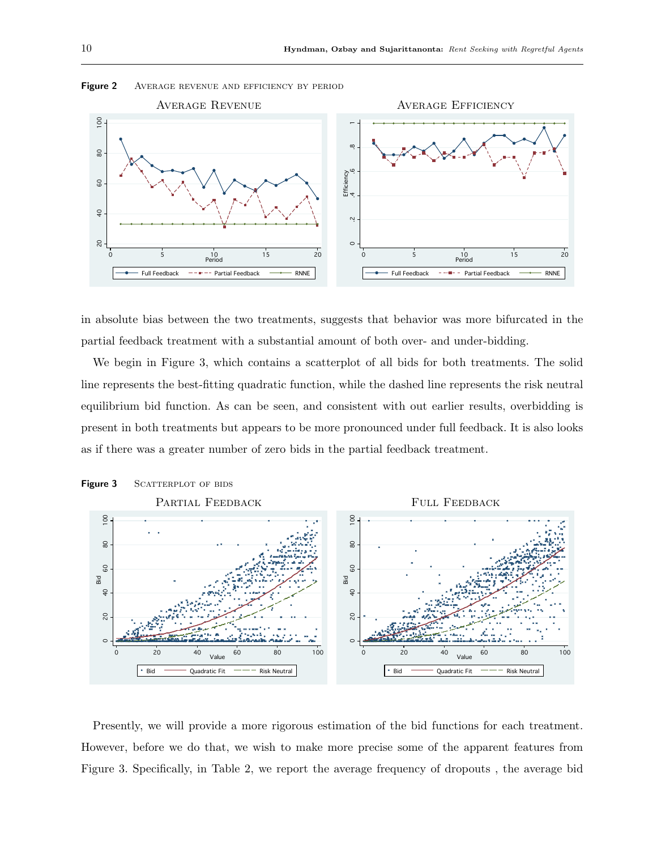

#### Figure 2 AVERAGE REVENUE AND EFFICIENCY BY PERIOD

in absolute bias between the two treatments, suggests that behavior was more bifurcated in the partial feedback treatment with a substantial amount of both over- and under-bidding.

We begin in Figure 3, which contains a scatterplot of all bids for both treatments. The solid line represents the best-fitting quadratic function, while the dashed line represents the risk neutral equilibrium bid function. As can be seen, and consistent with out earlier results, overbidding is present in both treatments but appears to be more pronounced under full feedback. It is also looks as if there was a greater number of zero bids in the partial feedback treatment.



#### Figure 3 SCATTERPLOT OF BIDS

Presently, we will provide a more rigorous estimation of the bid functions for each treatment. However, before we do that, we wish to make more precise some of the apparent features from Figure 3. Specifically, in Table 2, we report the average frequency of dropouts , the average bid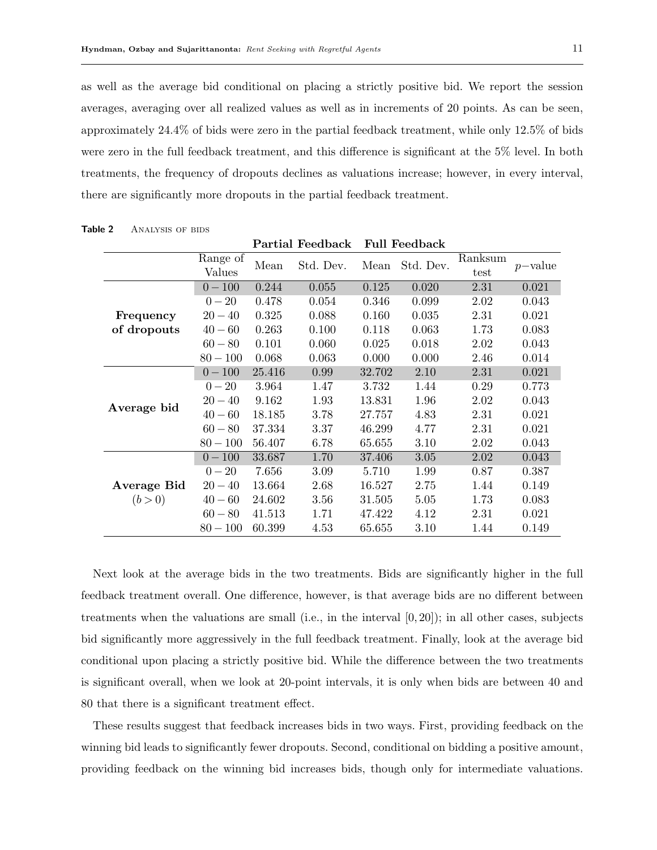as well as the average bid conditional on placing a strictly positive bid. We report the session averages, averaging over all realized values as well as in increments of 20 points. As can be seen, approximately 24.4% of bids were zero in the partial feedback treatment, while only 12.5% of bids were zero in the full feedback treatment, and this difference is significant at the 5% level. In both treatments, the frequency of dropouts declines as valuations increase; however, in every interval, there are significantly more dropouts in the partial feedback treatment.

|             |                    | <b>Partial Feedback</b> |           | <b>Full Feedback</b> |           |                 |            |
|-------------|--------------------|-------------------------|-----------|----------------------|-----------|-----------------|------------|
|             | Range of<br>Values | Mean                    | Std. Dev. | Mean                 | Std. Dev. | Ranksum<br>test | $p$ -value |
|             | $0 - 100$          | 0.244                   | 0.055     | 0.125                | 0.020     | 2.31            | 0.021      |
| Frequency   | $0 - 20$           | 0.478                   | 0.054     | 0.346                | 0.099     | 2.02            | 0.043      |
|             | $20 - 40$          | 0.325                   | 0.088     | 0.160                | 0.035     | 2.31            | 0.021      |
| of dropouts | $40 - 60$          | 0.263                   | 0.100     | 0.118                | 0.063     | 1.73            | 0.083      |
|             | $60 - 80$          | 0.101                   | 0.060     | 0.025                | 0.018     | 2.02            | 0.043      |
|             | $80 - 100$         | 0.068                   | 0.063     | 0.000                | 0.000     | 2.46            | 0.014      |
|             | $0 - 100$          | 25.416                  | 0.99      | 32.702               | 2.10      | 2.31            | 0.021      |
|             | $0 - 20$           | 3.964                   | 1.47      | 3.732                | 1.44      | 0.29            | 0.773      |
| Average bid | $20 - 40$          | 9.162                   | 1.93      | 13.831               | 1.96      | 2.02            | 0.043      |
|             | $40 - 60$          | 18.185                  | 3.78      | 27.757               | 4.83      | 2.31            | 0.021      |
|             | $60 - 80$          | 37.334                  | 3.37      | 46.299               | 4.77      | 2.31            | 0.021      |
|             | $80 - 100$         | 56.407                  | 6.78      | 65.655               | 3.10      | 2.02            | 0.043      |
| Average Bid | $0 - 100$          | 33.687                  | 1.70      | 37.406               | 3.05      | 2.02            | 0.043      |
|             | $0 - 20$           | 7.656                   | 3.09      | 5.710                | 1.99      | 0.87            | 0.387      |
|             | $20 - 40$          | 13.664                  | 2.68      | 16.527               | 2.75      | 1.44            | 0.149      |
| (b > 0)     | $40 - 60$          | 24.602                  | 3.56      | 31.505               | 5.05      | 1.73            | 0.083      |
|             | $60 - 80$          | 41.513                  | 1.71      | 47.422               | 4.12      | 2.31            | 0.021      |
|             | $80 - 100$         | 60.399                  | 4.53      | 65.655               | 3.10      | 1.44            | 0.149      |

Table 2 ANALYSIS OF BIDS

Next look at the average bids in the two treatments. Bids are significantly higher in the full feedback treatment overall. One difference, however, is that average bids are no different between treatments when the valuations are small (i.e., in the interval  $[0, 20]$ ); in all other cases, subjects bid significantly more aggressively in the full feedback treatment. Finally, look at the average bid conditional upon placing a strictly positive bid. While the difference between the two treatments is significant overall, when we look at 20-point intervals, it is only when bids are between 40 and 80 that there is a significant treatment effect.

These results suggest that feedback increases bids in two ways. First, providing feedback on the winning bid leads to significantly fewer dropouts. Second, conditional on bidding a positive amount, providing feedback on the winning bid increases bids, though only for intermediate valuations.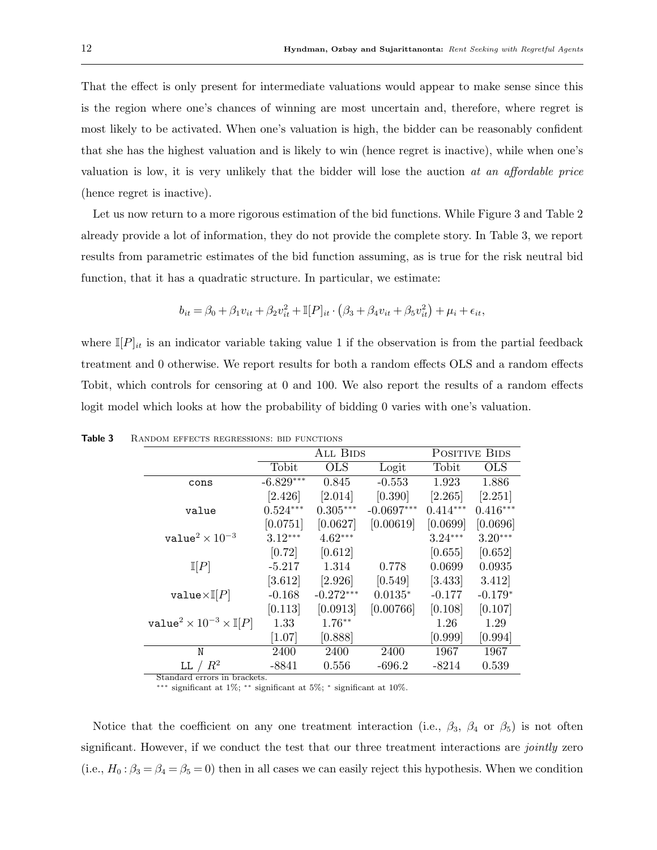That the effect is only present for intermediate valuations would appear to make sense since this is the region where one's chances of winning are most uncertain and, therefore, where regret is most likely to be activated. When one's valuation is high, the bidder can be reasonably confident that she has the highest valuation and is likely to win (hence regret is inactive), while when one's valuation is low, it is very unlikely that the bidder will lose the auction at an affordable price (hence regret is inactive).

Let us now return to a more rigorous estimation of the bid functions. While Figure 3 and Table 2 already provide a lot of information, they do not provide the complete story. In Table 3, we report results from parametric estimates of the bid function assuming, as is true for the risk neutral bid function, that it has a quadratic structure. In particular, we estimate:

$$
b_{it} = \beta_0 + \beta_1 v_{it} + \beta_2 v_{it}^2 + \mathbb{I}[P]_{it} \cdot \left(\beta_3 + \beta_4 v_{it} + \beta_5 v_{it}^2\right) + \mu_i + \epsilon_{it},
$$

where  $\mathbb{I}[P]_{it}$  is an indicator variable taking value 1 if the observation is from the partial feedback treatment and 0 otherwise. We report results for both a random effects OLS and a random effects Tobit, which controls for censoring at 0 and 100. We also report the results of a random effects logit model which looks at how the probability of bidding 0 varies with one's valuation.

|                                                          |                       | ALL BIDS    | <b>POSITIVE BIDS</b> |                       |            |
|----------------------------------------------------------|-----------------------|-------------|----------------------|-----------------------|------------|
|                                                          | Tobit                 | <b>OLS</b>  | Logit                | Tobit                 | <b>OLS</b> |
| cons                                                     | $-6.829***$           | 0.845       | $-0.553$             | 1.923                 | 1.886      |
|                                                          | [2.426]               | [2.014]     | [0.390]              | $\left[ 2.265\right]$ | [2.251]    |
| value                                                    | $0.524***$            | $0.305***$  | $-0.0697***$         | $0.414***$            | $0.416***$ |
|                                                          | [0.0751]              | [0.0627]    | [0.00619]            | [0.0699]              | [0.0696]   |
| value <sup>2</sup> $\times$ 10 <sup>-3</sup>             | $3.12***$             | $4.62***$   |                      | $3.24***$             | $3.20***$  |
|                                                          | [0.72]                | [0.612]     |                      | [0.655]               | [0.652]    |
| $\mathbb{I}[P]$                                          | $-5.217$              | 1.314       | 0.778                | 0.0699                | 0.0935     |
|                                                          | $\left[ 3.612\right]$ | [2.926]     | [0.549]              | [3.433]               | 3.412      |
| $\texttt{value} \times \mathbb{I}[P]$                    | $-0.168$              | $-0.272***$ | $0.0135*$            | $-0.177$              | $-0.179*$  |
|                                                          | [0.113]               | [0.0913]    | [0.00766]            | [0.108]               | [0.107]    |
| value <sup>2</sup> $\times 10^{-3} \times \mathbb{I}[P]$ | 1.33                  | $1.76***$   |                      | 1.26                  | 1.29       |
|                                                          | [1.07]                | [0.888]     |                      | [0.999]               | [0.994]    |
| N                                                        | 2400                  | 2400        | 2400                 | 1967                  | 1967       |
| $\,R^2$<br>LL /                                          | $-8841$               | 0.556       | $-696.2$             | $-8214$               | 0.539      |
|                                                          |                       |             |                      |                       |            |

Table 3 RANDOM EFFECTS REGRESSIONS: BID FUNCTIONS

Standard errors in brackets.

∗∗∗ significant at 1%; ∗∗ significant at 5%; <sup>∗</sup> significant at 10%.

Notice that the coefficient on any one treatment interaction (i.e.,  $\beta_3$ ,  $\beta_4$  or  $\beta_5$ ) is not often significant. However, if we conduct the test that our three treatment interactions are *jointly* zero (i.e.,  $H_0: \beta_3 = \beta_4 = \beta_5 = 0$ ) then in all cases we can easily reject this hypothesis. When we condition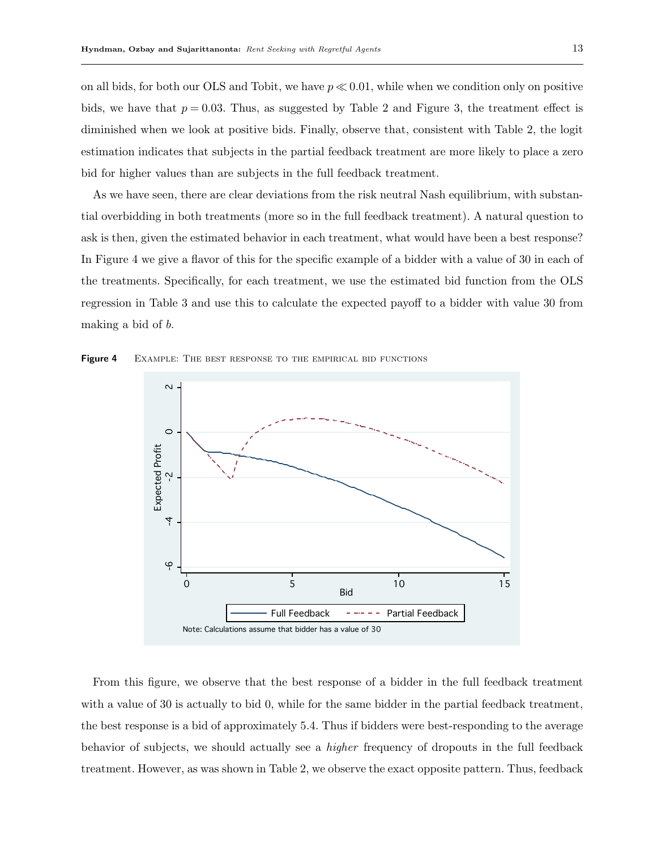on all bids, for both our OLS and Tobit, we have  $p \ll 0.01$ , while when we condition only on positive bids, we have that  $p = 0.03$ . Thus, as suggested by Table 2 and Figure 3, the treatment effect is diminished when we look at positive bids. Finally, observe that, consistent with Table 2, the logit estimation indicates that subjects in the partial feedback treatment are more likely to place a zero bid for higher values than are subjects in the full feedback treatment.

As we have seen, there are clear deviations from the risk neutral Nash equilibrium, with substantial overbidding in both treatments (more so in the full feedback treatment). A natural question to ask is then, given the estimated behavior in each treatment, what would have been a best response? In Figure 4 we give a flavor of this for the specific example of a bidder with a value of 30 in each of the treatments. Specifically, for each treatment, we use the estimated bid function from the OLS regression in Table 3 and use this to calculate the expected payoff to a bidder with value 30 from making a bid of b.





From this figure, we observe that the best response of a bidder in the full feedback treatment with a value of 30 is actually to bid 0, while for the same bidder in the partial feedback treatment, the best response is a bid of approximately 5.4. Thus if bidders were best-responding to the average behavior of subjects, we should actually see a higher frequency of dropouts in the full feedback treatment. However, as was shown in Table 2, we observe the exact opposite pattern. Thus, feedback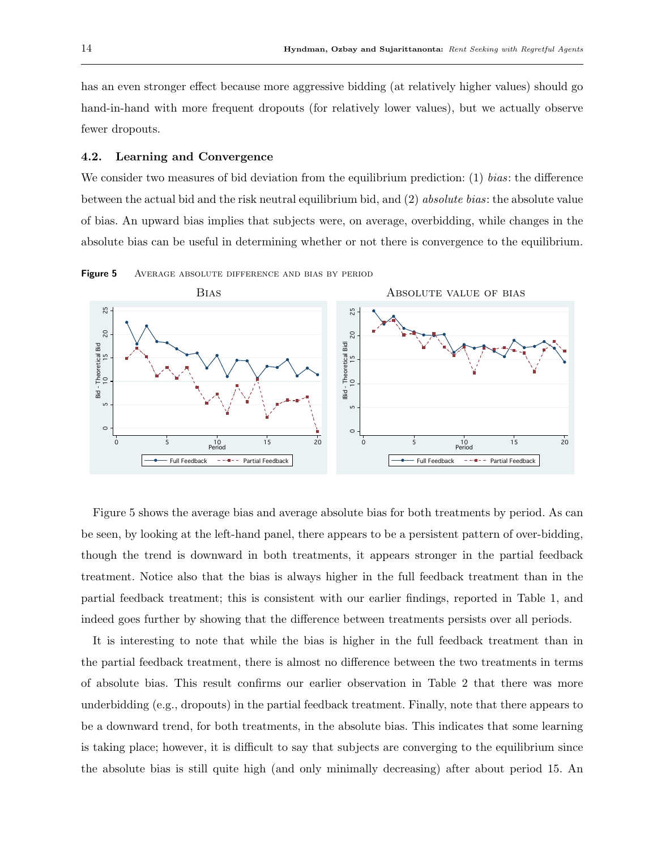has an even stronger effect because more aggressive bidding (at relatively higher values) should go hand-in-hand with more frequent dropouts (for relatively lower values), but we actually observe fewer dropouts.

### 4.2. Learning and Convergence

We consider two measures of bid deviation from the equilibrium prediction: (1) bias: the difference between the actual bid and the risk neutral equilibrium bid, and (2) absolute bias: the absolute value of bias. An upward bias implies that subjects were, on average, overbidding, while changes in the absolute bias can be useful in determining whether or not there is convergence to the equilibrium.



Figure 5 AVERAGE ABSOLUTE DIFFERENCE AND BIAS BY PERIOD

Figure 5 shows the average bias and average absolute bias for both treatments by period. As can be seen, by looking at the left-hand panel, there appears to be a persistent pattern of over-bidding, though the trend is downward in both treatments, it appears stronger in the partial feedback treatment. Notice also that the bias is always higher in the full feedback treatment than in the partial feedback treatment; this is consistent with our earlier findings, reported in Table 1, and indeed goes further by showing that the difference between treatments persists over all periods.

It is interesting to note that while the bias is higher in the full feedback treatment than in the partial feedback treatment, there is almost no difference between the two treatments in terms of absolute bias. This result confirms our earlier observation in Table 2 that there was more underbidding (e.g., dropouts) in the partial feedback treatment. Finally, note that there appears to be a downward trend, for both treatments, in the absolute bias. This indicates that some learning is taking place; however, it is difficult to say that subjects are converging to the equilibrium since the absolute bias is still quite high (and only minimally decreasing) after about period 15. An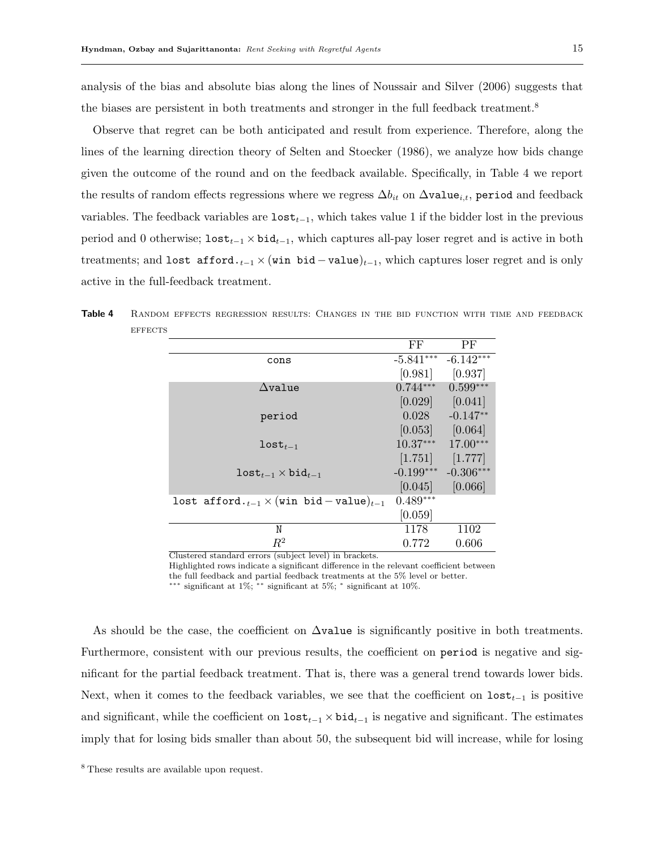analysis of the bias and absolute bias along the lines of Noussair and Silver (2006) suggests that the biases are persistent in both treatments and stronger in the full feedback treatment.<sup>8</sup>

Observe that regret can be both anticipated and result from experience. Therefore, along the lines of the learning direction theory of Selten and Stoecker (1986), we analyze how bids change given the outcome of the round and on the feedback available. Specifically, in Table 4 we report the results of random effects regressions where we regress  $\Delta b_{it}$  on  $\Delta \text{value}_{i,t}$ , period and feedback variables. The feedback variables are  $\texttt{lost}_{t-1}$ , which takes value 1 if the bidder lost in the previous period and 0 otherwise;  $\texttt{lost}_{t-1} \times \texttt{bid}_{t-1}$ , which captures all-pay loser regret and is active in both treatments; and lost afford. $t_{t-1}$  × (win bid – value) $t_{t-1}$ , which captures loser regret and is only active in the full-feedback treatment.

Table 4 RANDOM EFFECTS REGRESSION RESULTS: CHANGES IN THE BID FUNCTION WITH TIME AND FEEDBACK **EFFECTS** 

|                                                                       | $_{\rm FF}$          | PF          |
|-----------------------------------------------------------------------|----------------------|-------------|
| cons                                                                  | $-5.841***$          | $-6.142***$ |
|                                                                       | [0.981]              | [0.937]     |
| $\Delta$ value                                                        | $0.744***$           | $0.599***$  |
|                                                                       | [0.029]              | [0.041]     |
| period                                                                | 0.028                | $-0.147**$  |
|                                                                       | [0.053]              | [0.064]     |
| $lost_{t-1}$                                                          | $10.37***$           | $17.00***$  |
|                                                                       | $\left[1.751\right]$ | [1.777]     |
| $lost_{t-1} \times bid_{t-1}$                                         | $-0.199***$          | $-0.306***$ |
|                                                                       | [0.045]              | [0.066]     |
| lost afford. <sub>t-1</sub> $\times$ (win bid - value) <sub>t-1</sub> | $0.489***$           |             |
|                                                                       | [0.059]              |             |
| N                                                                     | 1178                 | 1102        |
| $\,R^2$                                                               | 0.772                | 0.606       |

Clustered standard errors (subject level) in brackets.

Highlighted rows indicate a significant difference in the relevant coefficient between the full feedback and partial feedback treatments at the 5% level or better.

∗∗∗ significant at 1%; ∗∗ significant at 5%; <sup>∗</sup> significant at 10%.

As should be the case, the coefficient on  $\Delta$ value is significantly positive in both treatments. Furthermore, consistent with our previous results, the coefficient on period is negative and significant for the partial feedback treatment. That is, there was a general trend towards lower bids. Next, when it comes to the feedback variables, we see that the coefficient on lost<sub> $t-1$ </sub> is positive and significant, while the coefficient on  $\texttt{lost}_{t-1} \times \texttt{bid}_{t-1}$  is negative and significant. The estimates imply that for losing bids smaller than about 50, the subsequent bid will increase, while for losing

<sup>8</sup> These results are available upon request.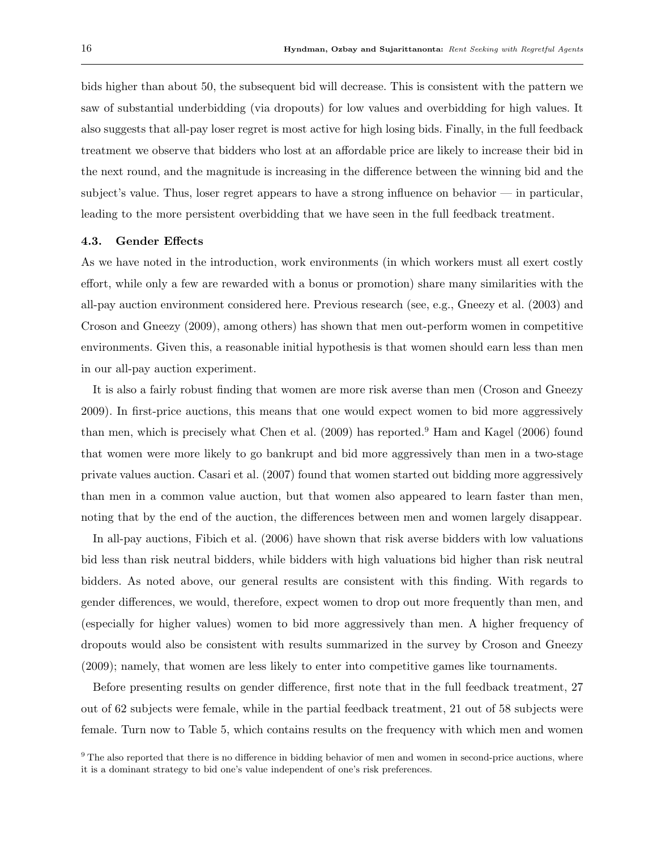bids higher than about 50, the subsequent bid will decrease. This is consistent with the pattern we saw of substantial underbidding (via dropouts) for low values and overbidding for high values. It also suggests that all-pay loser regret is most active for high losing bids. Finally, in the full feedback treatment we observe that bidders who lost at an affordable price are likely to increase their bid in the next round, and the magnitude is increasing in the difference between the winning bid and the subject's value. Thus, loser regret appears to have a strong influence on behavior — in particular, leading to the more persistent overbidding that we have seen in the full feedback treatment.

## 4.3. Gender Effects

As we have noted in the introduction, work environments (in which workers must all exert costly effort, while only a few are rewarded with a bonus or promotion) share many similarities with the all-pay auction environment considered here. Previous research (see, e.g., Gneezy et al. (2003) and Croson and Gneezy (2009), among others) has shown that men out-perform women in competitive environments. Given this, a reasonable initial hypothesis is that women should earn less than men in our all-pay auction experiment.

It is also a fairly robust finding that women are more risk averse than men (Croson and Gneezy 2009). In first-price auctions, this means that one would expect women to bid more aggressively than men, which is precisely what Chen et al.  $(2009)$  has reported.<sup>9</sup> Ham and Kagel  $(2006)$  found that women were more likely to go bankrupt and bid more aggressively than men in a two-stage private values auction. Casari et al. (2007) found that women started out bidding more aggressively than men in a common value auction, but that women also appeared to learn faster than men, noting that by the end of the auction, the differences between men and women largely disappear.

In all-pay auctions, Fibich et al. (2006) have shown that risk averse bidders with low valuations bid less than risk neutral bidders, while bidders with high valuations bid higher than risk neutral bidders. As noted above, our general results are consistent with this finding. With regards to gender differences, we would, therefore, expect women to drop out more frequently than men, and (especially for higher values) women to bid more aggressively than men. A higher frequency of dropouts would also be consistent with results summarized in the survey by Croson and Gneezy (2009); namely, that women are less likely to enter into competitive games like tournaments.

Before presenting results on gender difference, first note that in the full feedback treatment, 27 out of 62 subjects were female, while in the partial feedback treatment, 21 out of 58 subjects were female. Turn now to Table 5, which contains results on the frequency with which men and women

<sup>9</sup> The also reported that there is no difference in bidding behavior of men and women in second-price auctions, where it is a dominant strategy to bid one's value independent of one's risk preferences.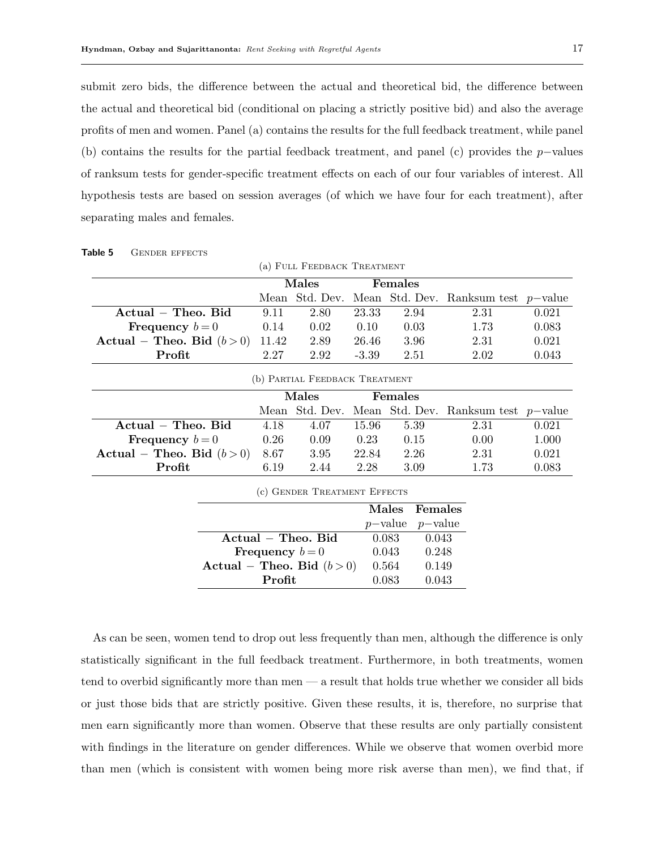submit zero bids, the difference between the actual and theoretical bid, the difference between the actual and theoretical bid (conditional on placing a strictly positive bid) and also the average profits of men and women. Panel (a) contains the results for the full feedback treatment, while panel (b) contains the results for the partial feedback treatment, and panel (c) provides the p−values of ranksum tests for gender-specific treatment effects on each of our four variables of interest. All hypothesis tests are based on session averages (of which we have four for each treatment), after separating males and females.

| (a) FULL FEEDBACK TREATMENT    |                              |      |         |                       |                                                  |       |  |  |
|--------------------------------|------------------------------|------|---------|-----------------------|--------------------------------------------------|-------|--|--|
|                                | Males                        |      |         | Females               |                                                  |       |  |  |
|                                | Mean                         |      |         |                       | Std. Dev. Mean Std. Dev. Ranksum test $p$ -value |       |  |  |
| Actual - Theo. Bid             | 9.11                         | 2.80 | 23.33   | 2.94                  | 2.31                                             | 0.021 |  |  |
| Frequency $b=0$                | 0.14                         | 0.02 | 0.10    | 0.03                  | 1.73                                             | 0.083 |  |  |
| Actual – Theo. Bid $(b>0)$     | 11.42                        | 2.89 | 26.46   | 3.96                  | 2.31                                             | 0.021 |  |  |
| Profit                         | 2.27                         | 2.92 | $-3.39$ | 2.51                  | 2.02                                             | 0.043 |  |  |
| (b) PARTIAL FEEDBACK TREATMENT |                              |      |         |                       |                                                  |       |  |  |
|                                | Males                        |      |         | Females               |                                                  |       |  |  |
|                                | Mean                         |      |         |                       | Std. Dev. Mean Std. Dev. Ranksum test $p$ -value |       |  |  |
| Actual - Theo. Bid             | 4.18                         | 4.07 | 15.96   | 5.39                  | 2.31                                             | 0.021 |  |  |
| Frequency $b=0$                | 0.26                         | 0.09 | 0.23    | 0.15                  | 0.00                                             | 1.000 |  |  |
| Actual – Theo. Bid $(b>0)$     | 8.67                         | 3.95 | 22.84   | 2.26                  | 2.31                                             | 0.021 |  |  |
| Profit                         | 6.19                         | 2.44 | 2.28    | 3.09                  | 1.73                                             | 0.083 |  |  |
| (c) GENDER TREATMENT EFFECTS   |                              |      |         |                       |                                                  |       |  |  |
|                                |                              |      |         | Females<br>Males      |                                                  |       |  |  |
|                                |                              |      |         | $p$ -value $p$ -value |                                                  |       |  |  |
|                                | Actual - Theo. Bid           |      |         | 0.083<br>0.043        |                                                  |       |  |  |
|                                | Frequency $b=0$              |      |         | 0.043<br>0.248        |                                                  |       |  |  |
|                                | Actual – Theo. Bid $(b > 0)$ |      |         | 0.564<br>0.149        |                                                  |       |  |  |
|                                | Profit                       |      |         | 0.083<br>0.043        |                                                  |       |  |  |

Table 5 GENDER EFFECTS

As can be seen, women tend to drop out less frequently than men, although the difference is only statistically significant in the full feedback treatment. Furthermore, in both treatments, women tend to overbid significantly more than men — a result that holds true whether we consider all bids or just those bids that are strictly positive. Given these results, it is, therefore, no surprise that men earn significantly more than women. Observe that these results are only partially consistent with findings in the literature on gender differences. While we observe that women overbid more than men (which is consistent with women being more risk averse than men), we find that, if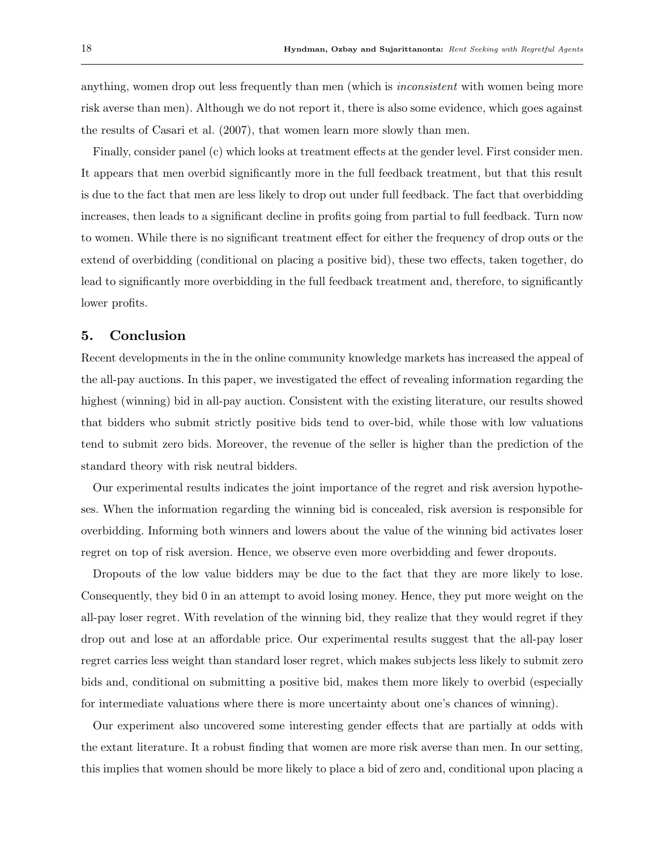anything, women drop out less frequently than men (which is *inconsistent* with women being more risk averse than men). Although we do not report it, there is also some evidence, which goes against the results of Casari et al. (2007), that women learn more slowly than men.

Finally, consider panel (c) which looks at treatment effects at the gender level. First consider men. It appears that men overbid significantly more in the full feedback treatment, but that this result is due to the fact that men are less likely to drop out under full feedback. The fact that overbidding increases, then leads to a significant decline in profits going from partial to full feedback. Turn now to women. While there is no significant treatment effect for either the frequency of drop outs or the extend of overbidding (conditional on placing a positive bid), these two effects, taken together, do lead to significantly more overbidding in the full feedback treatment and, therefore, to significantly lower profits.

# 5. Conclusion

Recent developments in the in the online community knowledge markets has increased the appeal of the all-pay auctions. In this paper, we investigated the effect of revealing information regarding the highest (winning) bid in all-pay auction. Consistent with the existing literature, our results showed that bidders who submit strictly positive bids tend to over-bid, while those with low valuations tend to submit zero bids. Moreover, the revenue of the seller is higher than the prediction of the standard theory with risk neutral bidders.

Our experimental results indicates the joint importance of the regret and risk aversion hypotheses. When the information regarding the winning bid is concealed, risk aversion is responsible for overbidding. Informing both winners and lowers about the value of the winning bid activates loser regret on top of risk aversion. Hence, we observe even more overbidding and fewer dropouts.

Dropouts of the low value bidders may be due to the fact that they are more likely to lose. Consequently, they bid 0 in an attempt to avoid losing money. Hence, they put more weight on the all-pay loser regret. With revelation of the winning bid, they realize that they would regret if they drop out and lose at an affordable price. Our experimental results suggest that the all-pay loser regret carries less weight than standard loser regret, which makes subjects less likely to submit zero bids and, conditional on submitting a positive bid, makes them more likely to overbid (especially for intermediate valuations where there is more uncertainty about one's chances of winning).

Our experiment also uncovered some interesting gender effects that are partially at odds with the extant literature. It a robust finding that women are more risk averse than men. In our setting, this implies that women should be more likely to place a bid of zero and, conditional upon placing a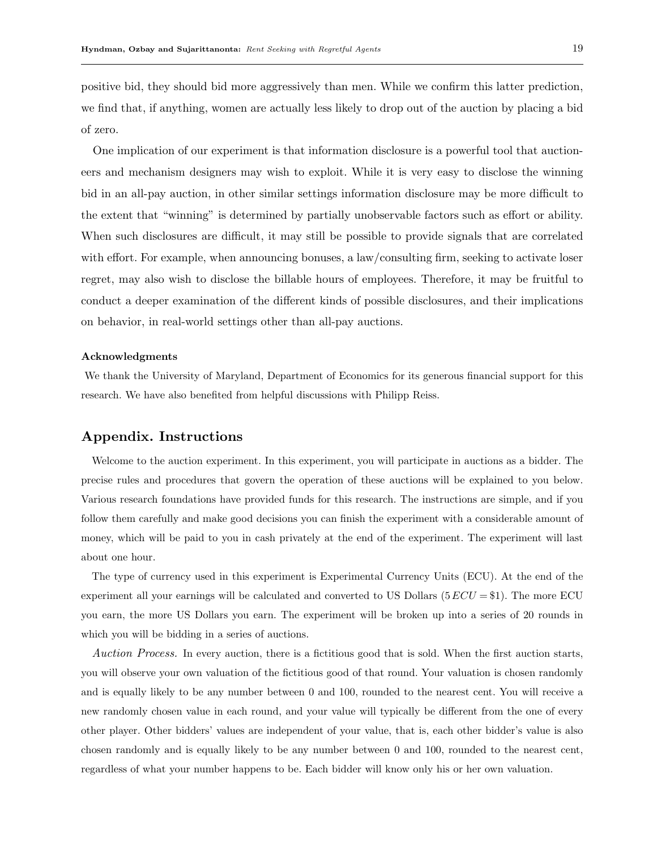positive bid, they should bid more aggressively than men. While we confirm this latter prediction, we find that, if anything, women are actually less likely to drop out of the auction by placing a bid of zero.

One implication of our experiment is that information disclosure is a powerful tool that auctioneers and mechanism designers may wish to exploit. While it is very easy to disclose the winning bid in an all-pay auction, in other similar settings information disclosure may be more difficult to the extent that "winning" is determined by partially unobservable factors such as effort or ability. When such disclosures are difficult, it may still be possible to provide signals that are correlated with effort. For example, when announcing bonuses, a law/consulting firm, seeking to activate loser regret, may also wish to disclose the billable hours of employees. Therefore, it may be fruitful to conduct a deeper examination of the different kinds of possible disclosures, and their implications on behavior, in real-world settings other than all-pay auctions.

#### Acknowledgments

We thank the University of Maryland, Department of Economics for its generous financial support for this research. We have also benefited from helpful discussions with Philipp Reiss.

# Appendix. Instructions

Welcome to the auction experiment. In this experiment, you will participate in auctions as a bidder. The precise rules and procedures that govern the operation of these auctions will be explained to you below. Various research foundations have provided funds for this research. The instructions are simple, and if you follow them carefully and make good decisions you can finish the experiment with a considerable amount of money, which will be paid to you in cash privately at the end of the experiment. The experiment will last about one hour.

The type of currency used in this experiment is Experimental Currency Units (ECU). At the end of the experiment all your earnings will be calculated and converted to US Dollars  $(5 \text{ } ECU = $1)$ . The more ECU you earn, the more US Dollars you earn. The experiment will be broken up into a series of 20 rounds in which you will be bidding in a series of auctions.

Auction Process. In every auction, there is a fictitious good that is sold. When the first auction starts, you will observe your own valuation of the fictitious good of that round. Your valuation is chosen randomly and is equally likely to be any number between 0 and 100, rounded to the nearest cent. You will receive a new randomly chosen value in each round, and your value will typically be different from the one of every other player. Other bidders' values are independent of your value, that is, each other bidder's value is also chosen randomly and is equally likely to be any number between 0 and 100, rounded to the nearest cent, regardless of what your number happens to be. Each bidder will know only his or her own valuation.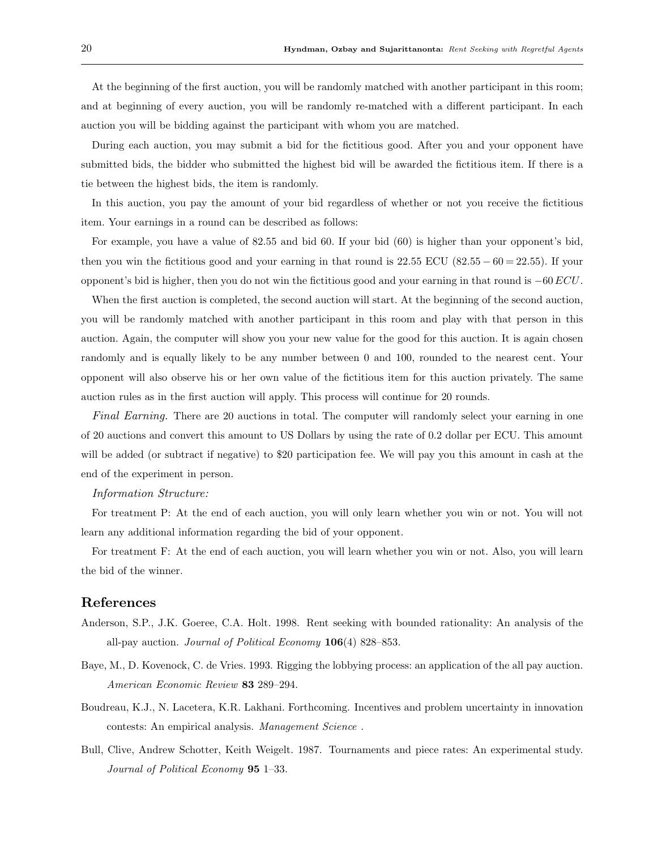At the beginning of the first auction, you will be randomly matched with another participant in this room; and at beginning of every auction, you will be randomly re-matched with a different participant. In each auction you will be bidding against the participant with whom you are matched.

During each auction, you may submit a bid for the fictitious good. After you and your opponent have submitted bids, the bidder who submitted the highest bid will be awarded the fictitious item. If there is a tie between the highest bids, the item is randomly.

In this auction, you pay the amount of your bid regardless of whether or not you receive the fictitious item. Your earnings in a round can be described as follows:

For example, you have a value of 82.55 and bid 60. If your bid (60) is higher than your opponent's bid, then you win the fictitious good and your earning in that round is  $22.55$  ECU (82.55 – 60 = 22.55). If your opponent's bid is higher, then you do not win the fictitious good and your earning in that round is −60ECU.

When the first auction is completed, the second auction will start. At the beginning of the second auction, you will be randomly matched with another participant in this room and play with that person in this auction. Again, the computer will show you your new value for the good for this auction. It is again chosen randomly and is equally likely to be any number between 0 and 100, rounded to the nearest cent. Your opponent will also observe his or her own value of the fictitious item for this auction privately. The same auction rules as in the first auction will apply. This process will continue for 20 rounds.

Final Earning. There are 20 auctions in total. The computer will randomly select your earning in one of 20 auctions and convert this amount to US Dollars by using the rate of 0.2 dollar per ECU. This amount will be added (or subtract if negative) to \$20 participation fee. We will pay you this amount in cash at the end of the experiment in person.

#### Information Structure:

For treatment P: At the end of each auction, you will only learn whether you win or not. You will not learn any additional information regarding the bid of your opponent.

For treatment F: At the end of each auction, you will learn whether you win or not. Also, you will learn the bid of the winner.

## References

- Anderson, S.P., J.K. Goeree, C.A. Holt. 1998. Rent seeking with bounded rationality: An analysis of the all-pay auction. Journal of Political Economy 106(4) 828–853.
- Baye, M., D. Kovenock, C. de Vries. 1993. Rigging the lobbying process: an application of the all pay auction. American Economic Review 83 289–294.
- Boudreau, K.J., N. Lacetera, K.R. Lakhani. Forthcoming. Incentives and problem uncertainty in innovation contests: An empirical analysis. Management Science .
- Bull, Clive, Andrew Schotter, Keith Weigelt. 1987. Tournaments and piece rates: An experimental study. Journal of Political Economy 95 1–33.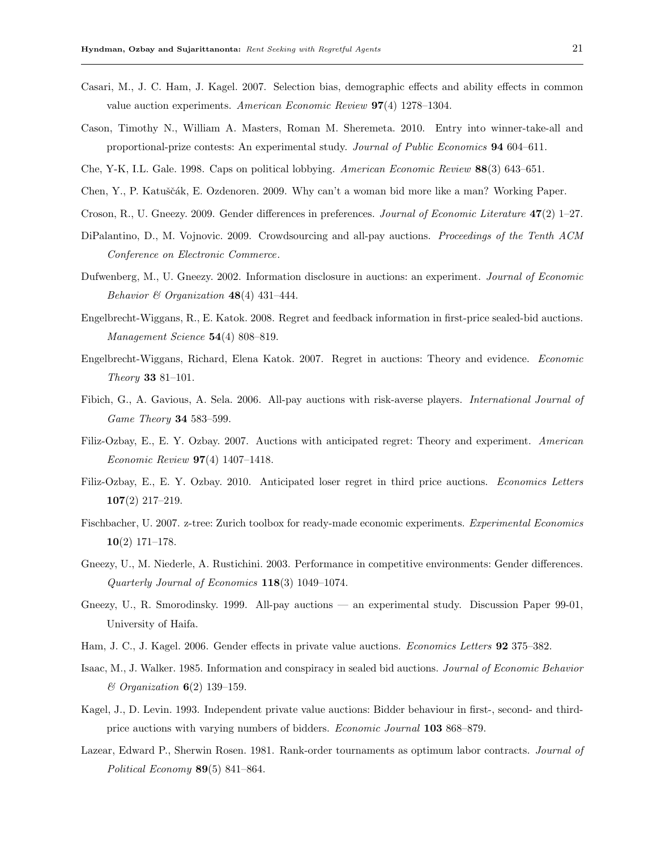- Casari, M., J. C. Ham, J. Kagel. 2007. Selection bias, demographic effects and ability effects in common value auction experiments. American Economic Review 97(4) 1278–1304.
- Cason, Timothy N., William A. Masters, Roman M. Sheremeta. 2010. Entry into winner-take-all and proportional-prize contests: An experimental study. Journal of Public Economics 94 604–611.
- Che, Y-K, I.L. Gale. 1998. Caps on political lobbying. American Economic Review 88(3) 643–651.
- Chen, Y., P. Katuščák, E. Ozdenoren. 2009. Why can't a woman bid more like a man? Working Paper.
- Croson, R., U. Gneezy. 2009. Gender differences in preferences. Journal of Economic Literature  $47(2)$  1–27.
- DiPalantino, D., M. Vojnovic. 2009. Crowdsourcing and all-pay auctions. Proceedings of the Tenth ACM Conference on Electronic Commerce.
- Dufwenberg, M., U. Gneezy. 2002. Information disclosure in auctions: an experiment. Journal of Economic Behavior & Organization  $48(4)$  431-444.
- Engelbrecht-Wiggans, R., E. Katok. 2008. Regret and feedback information in first-price sealed-bid auctions. Management Science 54(4) 808-819.
- Engelbrecht-Wiggans, Richard, Elena Katok. 2007. Regret in auctions: Theory and evidence. Economic Theory 33 81–101.
- Fibich, G., A. Gavious, A. Sela. 2006. All-pay auctions with risk-averse players. International Journal of Game Theory 34 583–599.
- Filiz-Ozbay, E., E. Y. Ozbay. 2007. Auctions with anticipated regret: Theory and experiment. American Economic Review 97(4) 1407–1418.
- Filiz-Ozbay, E., E. Y. Ozbay. 2010. Anticipated loser regret in third price auctions. Economics Letters 107(2) 217–219.
- Fischbacher, U. 2007. z-tree: Zurich toolbox for ready-made economic experiments. Experimental Economics 10(2) 171–178.
- Gneezy, U., M. Niederle, A. Rustichini. 2003. Performance in competitive environments: Gender differences. Quarterly Journal of Economics 118(3) 1049–1074.
- Gneezy, U., R. Smorodinsky. 1999. All-pay auctions an experimental study. Discussion Paper 99-01, University of Haifa.
- Ham, J. C., J. Kagel. 2006. Gender effects in private value auctions. Economics Letters 92 375–382.
- Isaac, M., J. Walker. 1985. Information and conspiracy in sealed bid auctions. Journal of Economic Behavior  $\mathcal B$  Organization 6(2) 139–159.
- Kagel, J., D. Levin. 1993. Independent private value auctions: Bidder behaviour in first-, second- and thirdprice auctions with varying numbers of bidders. Economic Journal 103 868–879.
- Lazear, Edward P., Sherwin Rosen. 1981. Rank-order tournaments as optimum labor contracts. Journal of Political Economy 89(5) 841–864.